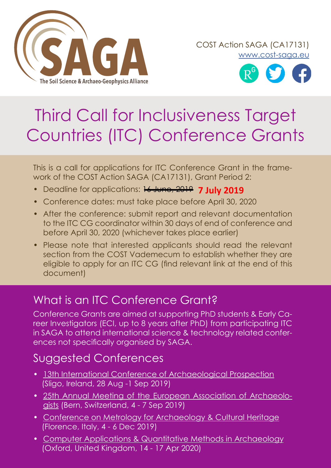

COST Action SAGA (CA17131) [www.cost-saga.eu](https://www.saga-cost.eu/)



# Third Call for Inclusiveness Target Countries (ITC) Conference Grants

This is a call for applications for ITC Conference Grant in the framework of the COST Action SAGA (CA17131), Grant Period 2:

- Deadline for applications: 16 June, 2019 **7 July 2019**
- Conference dates: must take place before April 30, 2020
- After the conference: submit report and relevant documentation to the ITC CG coordinator within 30 days of end of conference and before April 30, 2020 (whichever takes place earlier)
- Please note that interested applicants should read the relevant section from the COST Vademecum to establish whether they are eligible to apply for an ITC CG (find relevant link at the end of this document)

# What is an ITC Conference Grant?

Conference Grants are aimed at supporting PhD students & Early Career Investigators (ECI, up to 8 years after PhD) from participating ITC in SAGA to attend international science & technology related conferences not specifically organised by SAGA.

# Suggested Conferences

- [13th International Conference of Archaeological Prospection](https://www.ap2019sligo.com/) (Sligo, Ireland, 28 Aug -1 Sep 2019)
- 25th [Annual Meeting of the European Association of Archaeolo](https://www.e-a-a.org/eaa2019)[gists](https://www.e-a-a.org/eaa2019) (Bern, Switzerland, 4 - 7 Sep 2019)
- [Conference on Metrology for Archaeology & Cultural Heritage](http://www.metroarcheo.com/home) (Florence, Italy, 4 - 6 Dec 2019)
- [Computer Applications & Quantitative Methods in Archaeology](https://caa-international.org/) (Oxford, United Kingdom, 14 - 17 Apr 2020)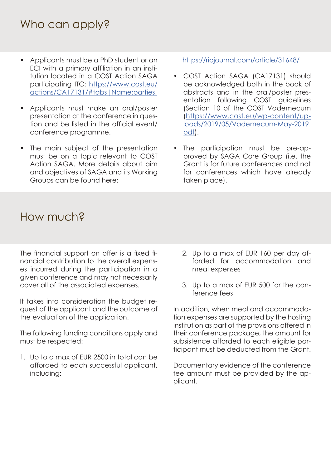### Who can apply?

- Applicants must be a PhD student or an ECI with a primary affiliation in an institution located in a COST Action SAGA participating ITC: [https://www.cost.eu/](https://www.cost.eu/actions/CA17131/#tabs|Name:parties. ) [actions/CA17131/#tabs|Name:parties.](https://www.cost.eu/actions/CA17131/#tabs|Name:parties. )
- Applicants must make an oral/poster presentation at the conference in question and be listed in the official event/ conference programme.
- The main subject of the presentation must be on a topic relevant to COST Action SAGA. More details about aim and objectives of SAGA and its Working Groups can be found here:

<https://riojournal.com/article/31648/>

- COST Action SAGA (CA17131) should be acknowledged both in the book of abstracts and in the oral/poster presentation following COST guidelines (Section 10 of the COST Vademecum [\(https://www.cost.eu/wp-content/up](https://www.cost.eu/wp-content/uploads/2019/05/Vademecum-May-2019.pdf)[loads/2019/05/Vademecum-May-2019.](https://www.cost.eu/wp-content/uploads/2019/05/Vademecum-May-2019.pdf) [pdf\)](https://www.cost.eu/wp-content/uploads/2019/05/Vademecum-May-2019.pdf).
- The participation must be pre-approved by SAGA Core Group (i.e. the Grant is for future conferences and not for conferences which have already taken place).

#### How much?

The financial support on offer is a fixed financial contribution to the overall expenses incurred during the participation in a given conference and may not necessarily cover all of the associated expenses.

It takes into consideration the budget request of the applicant and the outcome of the evaluation of the application.

The following funding conditions apply and must be respected:

1. Up to a max of EUR 2500 in total can be afforded to each successful applicant, including:

- 2. Up to a max of EUR 160 per day afforded for accommodation and meal expenses
- 3. Up to a max of EUR 500 for the conference fees

In addition, when meal and accommodation expenses are supported by the hosting institution as part of the provisions offered in their conference package, the amount for subsistence afforded to each eligible participant must be deducted from the Grant.

Documentary evidence of the conference fee amount must be provided by the applicant.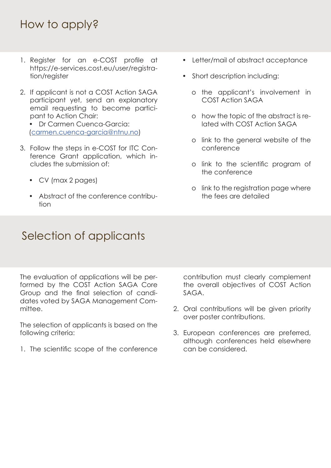# How to apply?

- 1. Register for an e-COST profile at https://e-services.cost.eu/user/registration/register
- 2. If applicant is not a COST Action SAGA participant yet, send an explanatory email requesting to become participant to Action Chair:
	- Dr Carmen Cuenca-Garcia: [\(carmen.cuenca-garcia@ntnu.no\)](mailto:carmen.cuenca-garcia%40ntnu.no?subject=)
- 3. Follow the steps in e-COST for ITC Conference Grant application, which includes the submission of:
	- CV (max 2 pages)
	- Abstract of the conference contribution
- Letter/mail of abstract acceptance
- Short description including:
	- ο the applicant's involvement in COST Action SAGA
	- ο how the topic of the abstract is related with COST Action SAGA
	- ο link to the general website of the conference
	- ο link to the scientific program of the conference
	- ο link to the registration page where the fees are detailed

# Selection of applicants

The evaluation of applications will be performed by the COST Action SAGA Core Group and the final selection of candidates voted by SAGA Management Committee.

The selection of applicants is based on the following criteria:

1. The scientific scope of the conference

contribution must clearly complement the overall objectives of COST Action SAGA.

- 2. Oral contributions will be given priority over poster contributions.
- 3. European conferences are preferred, although conferences held elsewhere can be considered.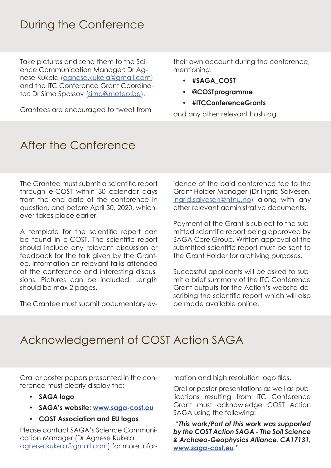#### During the Conference

Take pictures and send them to the Science Communication Manager: Dr Agnese Kukela [\(agnese.kukela@gmail.com](mailto:agnese.kukela%40gmail.com?subject=)) and the ITC Conference Grant Coordinator: Dr Simo Spassov ([simo@meteo.be](mailto:simo%40meteo.be?subject=)).

Grantees are encouraged to tweet from

their own account during the conference, mentioning:

- **• #SAGA\_COST**
- **• @COSTprogramme**
- **• #ITCConferenceGrants**

and any other relevant hashtag.

# After the Conference

The Grantee must submit a scientific report through e-COST within 30 calendar days from the end date of the conference in question, and before April 30, 2020, whichever takes place earlier.

A template for the scientific report can be found in e-COST. The scientific report should include any relevant discussion or feedback for the talk given by the Grantee, information on relevant talks attended at the conference and interesting discussions. Pictures can be included. Length should be max 2 pages.

The Grantee must submit documentary ev-

idence of the paid conference fee to the Grant Holder Manager (Dr Ingrid Salvesen, [ingrid.salvesen@ntnu.no\)](http://ingrid.salvesen@ntnu.no) along with any other relevant administrative documents.

Payment of the Grant is subject to the submitted scientific report being approved by SAGA Core Group. Written approval of the submitted scientific report must be sent to the Grant Holder for archiving purposes.

Successful applicants will be asked to submit a brief summary of the ITC Conference Grant outputs for the Action's website describing the scientific report which will also be made available online.

# Acknowledgement of COST Action SAGA

Oral or poster papers presented in the conference must clearly display the:

- **• SAGA logo**
- **• SAGA's website**: **[www.saga-cost.eu](http://www.saga-cost.eu)**
- **• COST Association and EU logos**

Please contact SAGA's Science Communication Manager (Dr Agnese Kukela: [agnese.kukela@gmail.com\)](mailto:agnese.kukela%40gmail.com?subject=) for more information and high resolution logo files.

Oral or poster presentations as well as publications resulting from ITC Conference Grant must acknowledge COST Action SAGA using the following:

 "*This work/Part of this work was supported by the COST Action SAGA - The Soil Science & Archaeo-Geophysics Alliance, CA17131, [www.saga-cost.eu](http://www.saga-cost.eu)*."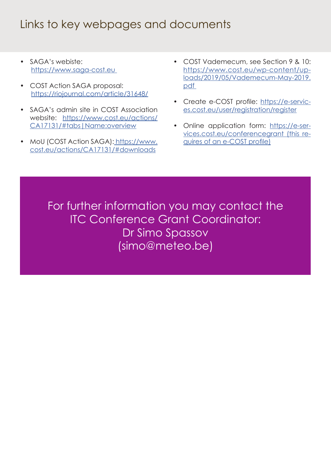# Links to key webpages and documents

- SAGA's webiste: [https://www.saga-cost.eu](https://www.saga-cost.eu/)
- COST Action SAGA proposal: [https://riojournal.com/article/31648/](https://riojournal.com/article/31648/ )
- SAGA's admin site in COST Association website: [https://www.cost.eu/actions/](https://www.cost.eu/actions/CA17131/#tabs|Name:overview ) [CA17131/#tabs|Name:overview](https://www.cost.eu/actions/CA17131/#tabs|Name:overview )
- MoU (COST Action SAGA)[: https://www.]( https://www.cost.eu/actions/CA17131/#downloads  ) [cost.eu/actions/CA17131/#downloads]( https://www.cost.eu/actions/CA17131/#downloads  )
- COST Vademecum, see Section 9 & 10: [https://www.cost.eu/wp-content/up](https://www.cost.eu/wp-content/uploads/2019/05/Vademecum-May-2019.pdf )[loads/2019/05/Vademecum-May-2019.](https://www.cost.eu/wp-content/uploads/2019/05/Vademecum-May-2019.pdf ) [pdf](https://www.cost.eu/wp-content/uploads/2019/05/Vademecum-May-2019.pdf )
- Create e-COST profile: [https://e-servic](https://e-services.cost.eu/user/registration/register  )[es.cost.eu/user/registration/register](https://e-services.cost.eu/user/registration/register  )
- Online application form: [https://e-ser](https://e-services.cost.eu/conferencegrant (this requires of an e-COST profile))[vices.cost.eu/conferencegrant \(this re](https://e-services.cost.eu/conferencegrant (this requires of an e-COST profile))[quires of an e-COST profile\)](https://e-services.cost.eu/conferencegrant (this requires of an e-COST profile))

For further information you may contact the ITC Conference Grant Coordinator: Dr Simo Spassov ([simo@meteo.be\)](mailto:simo%40meteo.be?subject=)